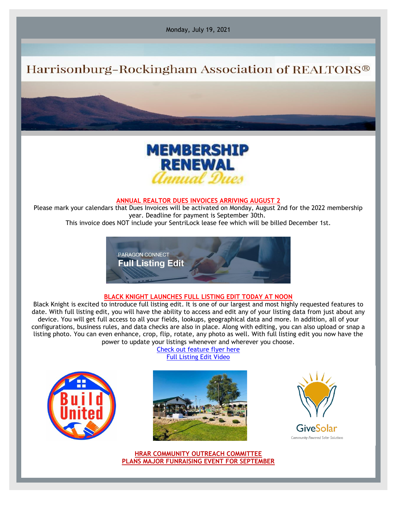Monday, July 19, 2021

## Harrisonburg-Rockingham Association of REALTORS®



## **ANNUAL REALTOR DUES INVOICES ARRIVING AUGUST 2**

Please mark your calendars that Dues Invoices will be activated on Monday, August 2nd for the 2022 membership year. Deadline for payment is September 30th.

This invoice does NOT include your SentriLock lease fee which will be billed December 1st.



## **BLACK KNIGHT LAUNCHES FULL LISTING EDIT TODAY AT NOON**

Black Knight is excited to introduce full listing edit. It is one of our largest and most highly requested features to date. With full listing edit, you will have the ability to access and edit any of your listing data from just about any device. You will get full access to all your fields, lookups, geographical data and more. In addition, all of your configurations, business rules, and data checks are also in place. Along with editing, you can also upload or snap a listing photo. You can even enhance, crop, flip, rotate, any photo as well. With full listing edit you now have the power to update your listings whenever and wherever you choose.

> [Check out feature flyer here](https://r20.rs6.net/tn.jsp?f=001HjhYFDDhG79lPkJ3fq0AdCzuujGA2TzN4XXZxd-fLNgeNB8cTjWEprWPRFIIog_8g1SmSP8mJ4TfoIAb9ZsD9aPqmi4Aha2RptQPEZDhRiKOhh4UxoFV3Sms8dGJ_-bSC_mcmMSHfJQEJe5ujhJ8EEh9qiPCpvURRpUHfcWD-vn_4FJlH5uYvzWKJtoRhKPmkMyxcCpfY6bAWQt_XOkiRWuyJ3hXpGBp39iFQUkH8rY=&c=NSXQO8vZYIb1ub5krFqhl6UvCRcBVjjV9sY9DOfbP4AqvXt3dw05cA==&ch=71-WmL5QebRZj7P64hbHO28eUqjTQOjx-gqgnnfiX4vFtr3cq-0FiQ==) [Full Listing Edit Video](https://r20.rs6.net/tn.jsp?f=001HjhYFDDhG79lPkJ3fq0AdCzuujGA2TzN4XXZxd-fLNgeNB8cTjWEprWPRFIIog_8pFQWMH-_zuWzCsk6HLySGneJezVH9rjL480ysBGVQ4BM5gsq6xmb00QqG7N338ZvO55TgDHx5JqMLhFy2wn-HA==&c=NSXQO8vZYIb1ub5krFqhl6UvCRcBVjjV9sY9DOfbP4AqvXt3dw05cA==&ch=71-WmL5QebRZj7P64hbHO28eUqjTQOjx-gqgnnfiX4vFtr3cq-0FiQ==)







**HRAR COMMUNITY OUTREACH COMMITTEE PLANS MAJOR FUNRAISING EVENT FOR SEPTEMBER**